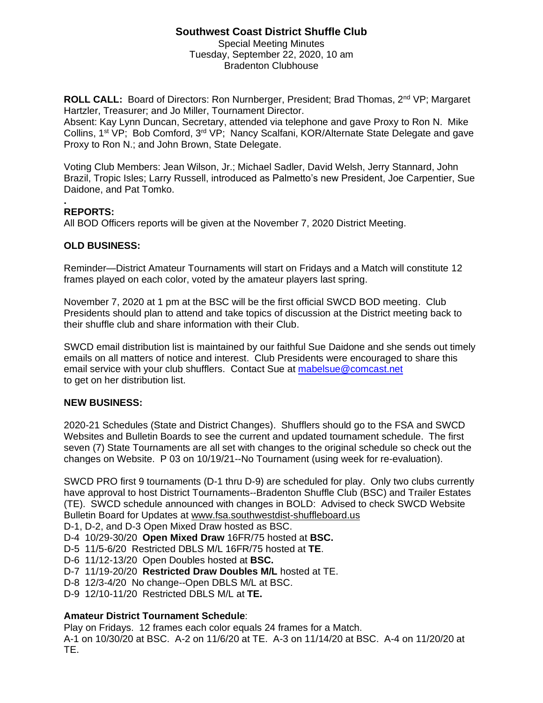# **Southwest Coast District Shuffle Club**

Special Meeting Minutes Tuesday, September 22, 2020, 10 am Bradenton Clubhouse

**ROLL CALL:** Board of Directors: Ron Nurnberger, President; Brad Thomas, 2<sup>nd</sup> VP; Margaret Hartzler, Treasurer; and Jo Miller, Tournament Director.

Absent: Kay Lynn Duncan, Secretary, attended via telephone and gave Proxy to Ron N. Mike Collins, 1<sup>st</sup> VP; Bob Comford, 3<sup>rd</sup> VP; Nancy Scalfani, KOR/Alternate State Delegate and gave Proxy to Ron N.; and John Brown, State Delegate.

Voting Club Members: Jean Wilson, Jr.; Michael Sadler, David Welsh, Jerry Stannard, John Brazil, Tropic Isles; Larry Russell, introduced as Palmetto's new President, Joe Carpentier, Sue Daidone, and Pat Tomko.

### **. REPORTS:**

All BOD Officers reports will be given at the November 7, 2020 District Meeting.

## **OLD BUSINESS:**

Reminder—District Amateur Tournaments will start on Fridays and a Match will constitute 12 frames played on each color, voted by the amateur players last spring.

November 7, 2020 at 1 pm at the BSC will be the first official SWCD BOD meeting. Club Presidents should plan to attend and take topics of discussion at the District meeting back to their shuffle club and share information with their Club.

SWCD email distribution list is maintained by our faithful Sue Daidone and she sends out timely emails on all matters of notice and interest. Club Presidents were encouraged to share this email service with your club shufflers. Contact Sue at [mabelsue@comcast.net](mailto:mabelsue@comcast.net) to get on her distribution list.

## **NEW BUSINESS:**

2020-21 Schedules (State and District Changes). Shufflers should go to the FSA and SWCD Websites and Bulletin Boards to see the current and updated tournament schedule. The first seven (7) State Tournaments are all set with changes to the original schedule so check out the changes on Website. P 03 on 10/19/21--No Tournament (using week for re-evaluation).

SWCD PRO first 9 tournaments (D-1 thru D-9) are scheduled for play. Only two clubs currently have approval to host District Tournaments--Bradenton Shuffle Club (BSC) and Trailer Estates (TE). SWCD schedule announced with changes in BOLD: Advised to check SWCD Website Bulletin Board for Updates at www.fsa.southwestdist-shuffleboard.us

D-1, D-2, and D-3 Open Mixed Draw hosted as BSC.

- D-4 10/29-30/20 **Open Mixed Draw** 16FR/75 hosted at **BSC.**
- D-5 11/5-6/20 Restricted DBLS M/L 16FR/75 hosted at **TE**.
- D-6 11/12-13/20 Open Doubles hosted at **BSC.**
- D-7 11/19-20/20 **Restricted Draw Doubles M/L** hosted at TE.
- D-8 12/3-4/20 No change--Open DBLS M/L at BSC.
- D-9 12/10-11/20 Restricted DBLS M/L at **TE.**

## **Amateur District Tournament Schedule**:

Play on Fridays. 12 frames each color equals 24 frames for a Match. A-1 on 10/30/20 at BSC. A-2 on 11/6/20 at TE. A-3 on 11/14/20 at BSC. A-4 on 11/20/20 at TE.